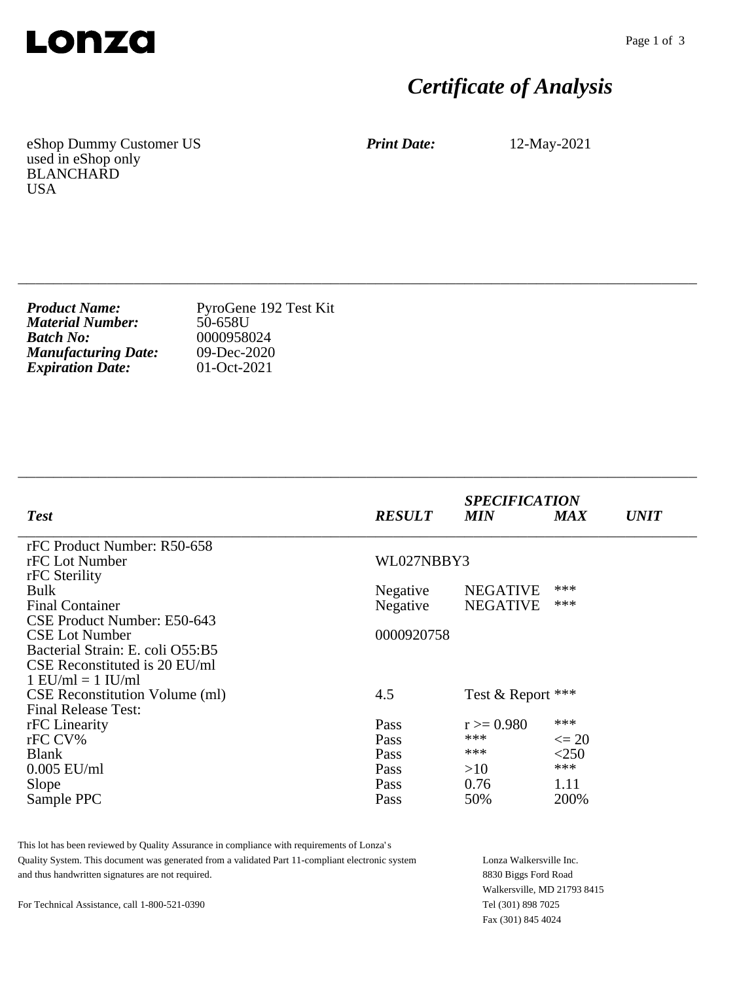

## *Certificate of Analysis*

eShop Dummy Customer US used in eShop only BLANCHARD USA

*Print Date:* 12-May-2021

\_\_\_\_\_\_\_\_\_\_\_\_\_\_\_\_\_\_\_\_\_\_\_\_\_\_\_\_\_\_\_\_\_\_\_\_\_\_\_\_\_\_\_\_\_\_\_\_\_\_\_\_\_\_\_\_\_\_\_\_\_\_\_\_\_\_\_\_\_\_\_\_\_\_\_\_

| <b>Product Name:</b>       | PyroGene 192 Test Kit |
|----------------------------|-----------------------|
| <b>Material Number:</b>    | 50-658U               |
| <b>Batch No:</b>           | 0000958024            |
| <b>Manufacturing Date:</b> | $09$ -Dec-2020        |
| <b>Expiration Date:</b>    | 01-Oct-2021           |

| <b>Test</b>                           | <b>RESULT</b> | <b>SPECIFICATION</b><br><b>MIN</b> | <b>MAX</b> | <b>UNIT</b> |
|---------------------------------------|---------------|------------------------------------|------------|-------------|
| rFC Product Number: R50-658           |               |                                    |            |             |
| rFC Lot Number                        | WL027NBBY3    |                                    |            |             |
| rFC Sterility                         |               |                                    |            |             |
| <b>Bulk</b>                           | Negative      | <b>NEGATIVE</b>                    | ***        |             |
| <b>Final Container</b>                | Negative      | <b>NEGATIVE</b>                    | ***        |             |
| CSE Product Number: E50-643           |               |                                    |            |             |
| <b>CSE Lot Number</b>                 | 0000920758    |                                    |            |             |
| Bacterial Strain: E. coli O55:B5      |               |                                    |            |             |
| CSE Reconstituted is 20 EU/ml         |               |                                    |            |             |
| $1$ EU/ml = $1$ IU/ml                 |               |                                    |            |             |
| <b>CSE</b> Reconstitution Volume (ml) | 4.5           | Test & Report ***                  |            |             |
| <b>Final Release Test:</b>            |               |                                    |            |             |
| rFC Linearity                         | Pass          | $r = 0.980$                        | ***        |             |
| rFC CV%                               | Pass          | ***                                | $\leq$ 20  |             |
| <b>Blank</b>                          | Pass          | ***                                | < 250      |             |
| $0.005$ EU/ml                         | Pass          | >10                                | ***        |             |
| Slope                                 | Pass          | 0.76                               | 1.11       |             |
| Sample PPC                            | Pass          | 50%                                | 200%       |             |

This lot has been reviewed by Quality Assurance in compliance with requirements of Lonza's Quality System. This document was generated from a validated Part 11-compliant electronic system and thus handwritten signatures are not required.

Lonza Walkersville Inc. 8830 Biggs Ford Road Walkersville, MD 21793 8415 Tel (301) 898 7025 Fax (301) 845 4024

For Technical Assistance, call 1-800-521-0390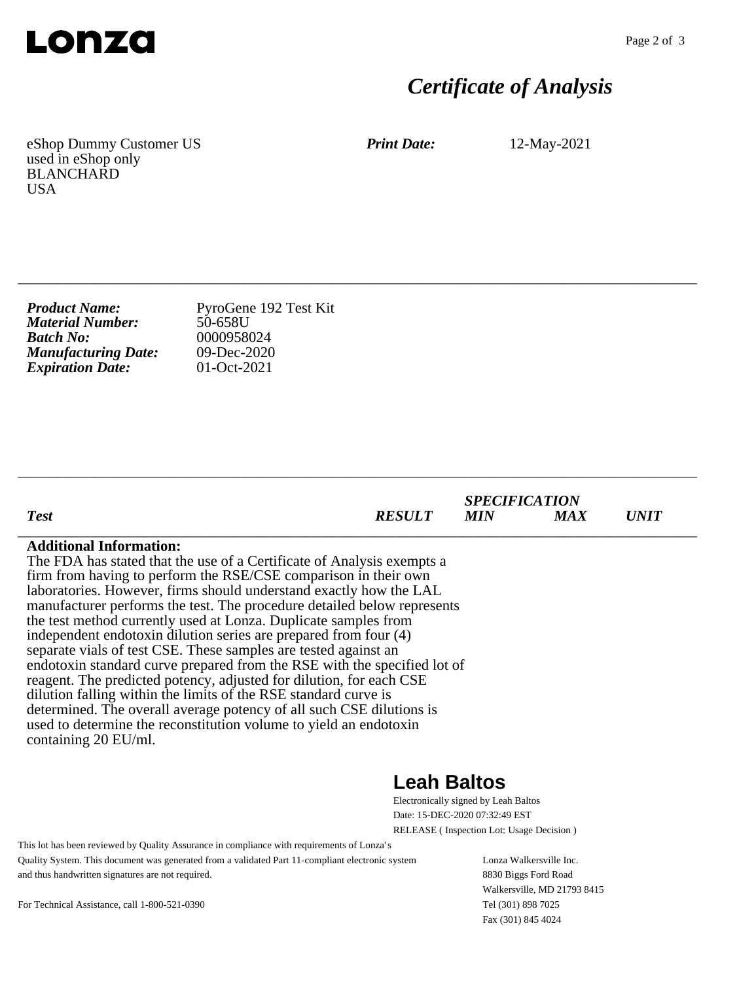

## *Certificate of Analysis*

eShop Dummy Customer US used in eShop only BLANCHARD USA

*Print Date:* 12-May-2021

| <b>Product Name:</b>       | PyroGene 192 Test Kit |
|----------------------------|-----------------------|
| <b>Material Number:</b>    | 50-658U               |
| <b>Batch No:</b>           | 0000958024            |
| <b>Manufacturing Date:</b> | $09$ -Dec-2020        |
| <b>Expiration Date:</b>    | 01-Oct-2021           |

| <b>Test</b>                                                                                                                                                                                                                                                                                                                                                                                                                                                                                                                                                                                                                                                                                                                                                                                                                                                                                                                       | <i><b>RESULT</b></i> | <b>SPECIFICATION</b><br>MIN | <b>MAX</b> | <i>UNIT</i> |
|-----------------------------------------------------------------------------------------------------------------------------------------------------------------------------------------------------------------------------------------------------------------------------------------------------------------------------------------------------------------------------------------------------------------------------------------------------------------------------------------------------------------------------------------------------------------------------------------------------------------------------------------------------------------------------------------------------------------------------------------------------------------------------------------------------------------------------------------------------------------------------------------------------------------------------------|----------------------|-----------------------------|------------|-------------|
| <b>Additional Information:</b><br>The FDA has stated that the use of a Certificate of Analysis exempts a<br>firm from having to perform the RSE/CSE comparison in their own<br>laboratories. However, firms should understand exactly how the LAL<br>manufacturer performs the test. The procedure detailed below represents<br>the test method currently used at Lonza. Duplicate samples from<br>independent endotoxin dilution series are prepared from four (4)<br>separate vials of test CSE. These samples are tested against an<br>endotoxin standard curve prepared from the RSE with the specified lot of<br>reagent. The predicted potency, adjusted for dilution, for each CSE<br>dilution falling within the limits of the RSE standard curve is<br>determined. The overall average potency of all such CSE dilutions is<br>used to determine the reconstitution volume to yield an endotoxin<br>containing 20 EU/ml. |                      |                             |            |             |
|                                                                                                                                                                                                                                                                                                                                                                                                                                                                                                                                                                                                                                                                                                                                                                                                                                                                                                                                   | aah Raltos           |                             |            |             |

\_\_\_\_\_\_\_\_\_\_\_\_\_\_\_\_\_\_\_\_\_\_\_\_\_\_\_\_\_\_\_\_\_\_\_\_\_\_\_\_\_\_\_\_\_\_\_\_\_\_\_\_\_\_\_\_\_\_\_\_\_\_\_\_\_\_\_\_\_\_\_\_\_\_\_\_

\_\_\_\_\_\_\_\_\_\_\_\_\_\_\_\_\_\_\_\_\_\_\_\_\_\_\_\_\_\_\_\_\_\_\_\_\_\_\_\_\_\_\_\_\_\_\_\_\_\_\_\_\_\_\_\_\_\_\_\_\_\_\_\_\_\_\_\_\_\_\_\_\_\_\_\_

## **Leah Baltos**

Electronically signed by Leah Baltos Date: 15-DEC-2020 07:32:49 EST RELEASE ( Inspection Lot: Usage Decision )

This lot has been reviewed by Quality Assurance in compliance with requirements of Lonza's Quality System. This document was generated from a validated Part 11-compliant electronic system and thus handwritten signatures are not required.

Lonza Walkersville Inc. 8830 Biggs Ford Road Walkersville, MD 21793 8415 Tel (301) 898 7025 Fax (301) 845 4024

For Technical Assistance, call 1-800-521-0390